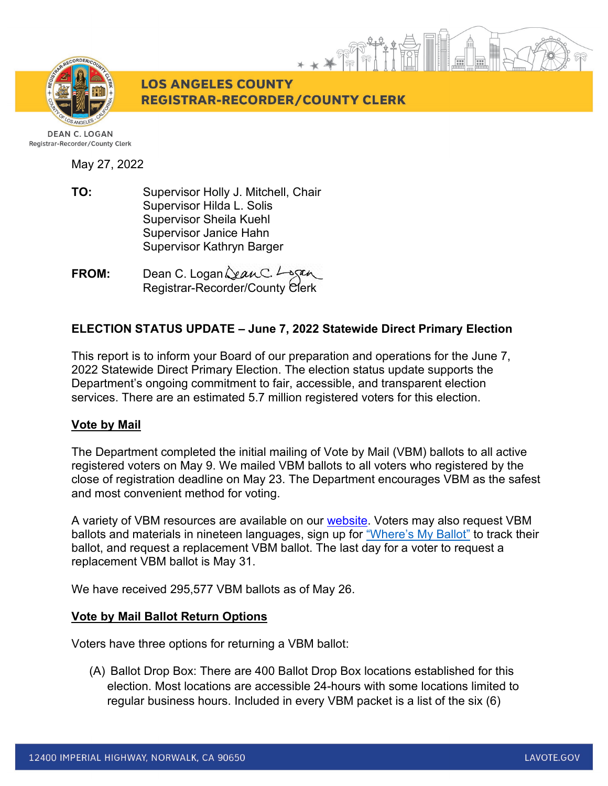

**LOS ANGELES COUNTY REGISTRAR-RECORDER/COUNTY CLERK** 

May 27, 2022

**TO:** Supervisor Holly J. Mitchell, Chair Supervisor Hilda L. Solis Supervisor Sheila Kuehl Supervisor Janice Hahn Supervisor Kathryn Barger

**FROM:** Dean C. Logan Registrar-Recorder/County Clerk

# **ELECTION STATUS UPDATE – June 7, 2022 Statewide Direct Primary Election**

This report is to inform your Board of our preparation and operations for the June 7, 2022 Statewide Direct Primary Election. The election status update supports the Department's ongoing commitment to fair, accessible, and transparent election services. There are an estimated 5.7 million registered voters for this election.

# **Vote by Mail**

The Department completed the initial mailing of Vote by Mail (VBM) ballots to all active registered voters on May 9. We mailed VBM ballots to all voters who registered by the close of registration deadline on May 23. The Department encourages VBM as the safest and most convenient method for voting.

A variety of VBM resources are available on our [website.](https://lavote.gov/home/voting-elections/voting-options/vote-by-mail/how-to-vote-by-mail) Voters may also request VBM ballots and materials in nineteen languages, sign up for ["Where's My Ballot"](https://california.ballottrax.net/voter/) to track their ballot, and request a replacement VBM ballot. The last day for a voter to request a replacement VBM ballot is May 31.

We have received 295,577 VBM ballots as of May 26.

# **Vote by Mail Ballot Return Options**

Voters have three options for returning a VBM ballot:

(A) Ballot Drop Box: There are 400 Ballot Drop Box locations established for this election. Most locations are accessible 24-hours with some locations limited to regular business hours. Included in every VBM packet is a list of the six (6)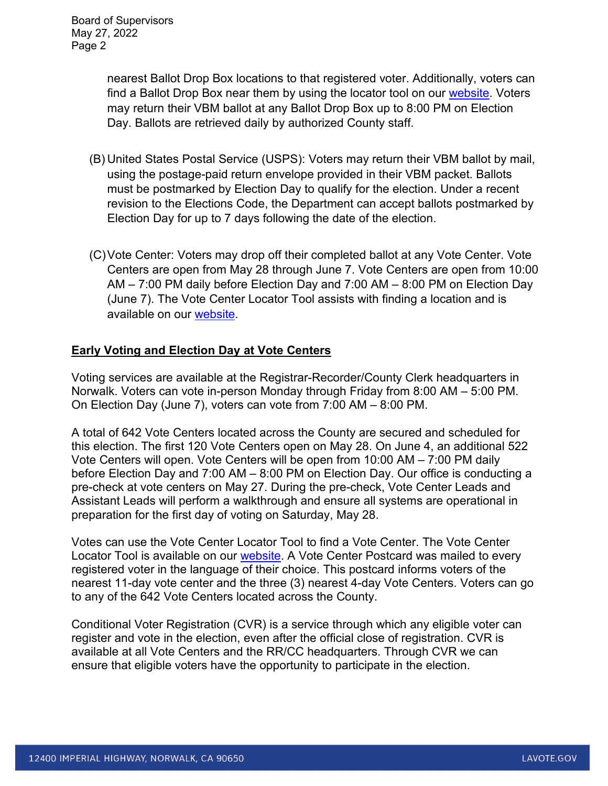nearest Ballot Drop Box locations to that registered voter. Additionally, voters can find a Ballot Drop Box near them by using the locator tool on our [website.](https://locator.lavote.gov/locations/vbm?culture=en) Voters may return their VBM ballot at any Ballot Drop Box up to 8:00 PM on Election Day. Ballots are retrieved daily by authorized County staff.

- (B) United States Postal Service (USPS): Voters may return their VBM ballot by mail, using the postage-paid return envelope provided in their VBM packet. Ballots must be postmarked by Election Day to qualify for the election. Under a recent revision to the Elections Code, the Department can accept ballots postmarked by Election Day for up to 7 days following the date of the election.
- (C)Vote Center: Voters may drop off their completed ballot at any Vote Center. Vote Centers are open from May 28 through June 7. Vote Centers are open from 10:00 AM – 7:00 PM daily before Election Day and 7:00 AM – 8:00 PM on Election Day (June 7). The Vote Center Locator Tool assists with finding a location and is available on our [website.](https://lavote.gov/home/voting-elections/voting-options/voting-in-person)

# **Early Voting and Election Day at Vote Centers**

Voting services are available at the Registrar-Recorder/County Clerk headquarters in Norwalk. Voters can vote in-person Monday through Friday from 8:00 AM – 5:00 PM. On Election Day (June 7), voters can vote from 7:00 AM – 8:00 PM.

A total of 642 Vote Centers located across the County are secured and scheduled for this election. The first 120 Vote Centers open on May 28. On June 4, an additional 522 Vote Centers will open. Vote Centers will be open from 10:00 AM – 7:00 PM daily before Election Day and 7:00 AM – 8:00 PM on Election Day. Our office is conducting a pre-check at vote centers on May 27. During the pre-check, Vote Center Leads and Assistant Leads will perform a walkthrough and ensure all systems are operational in preparation for the first day of voting on Saturday, May 28.

Votes can use the Vote Center Locator Tool to find a Vote Center. The Vote Center Locator Tool is available on our **website**. A Vote Center Postcard was mailed to every registered voter in the language of their choice. This postcard informs voters of the nearest 11-day vote center and the three (3) nearest 4-day Vote Centers. Voters can go to any of the 642 Vote Centers located across the County.

Conditional Voter Registration (CVR) is a service through which any eligible voter can register and vote in the election, even after the official close of registration. CVR is available at all Vote Centers and the RR/CC headquarters. Through CVR we can ensure that eligible voters have the opportunity to participate in the election.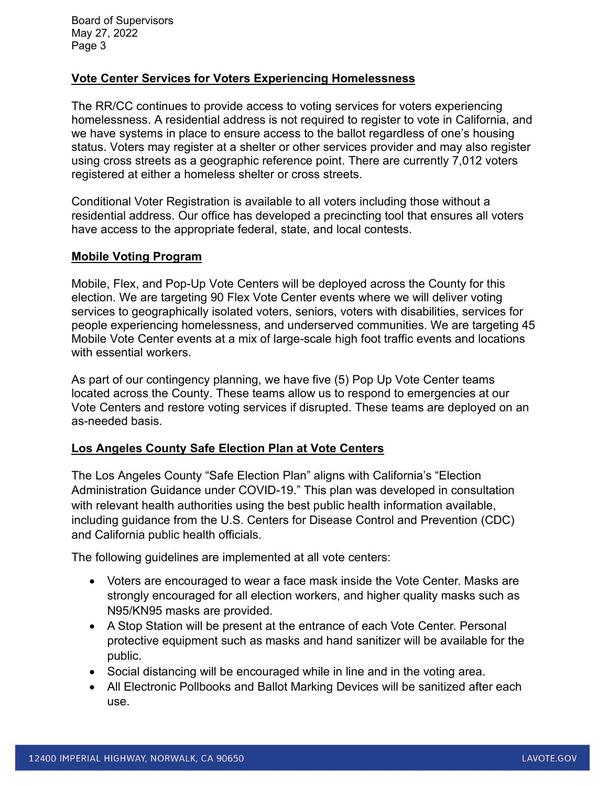Board of Supervisors May 27, 2022 Page 3

## **Vote Center Services for Voters Experiencing Homelessness**

The RR/CC continues to provide access to voting services for voters experiencing homelessness. A residential address is not required to register to vote in California, and we have systems in place to ensure access to the ballot regardless of one's housing status. Voters may register at a shelter or other services provider and may also register using cross streets as a geographic reference point. There are currently 7,012 voters registered at either a homeless shelter or cross streets.

Conditional Voter Registration is available to all voters including those without a residential address. Our office has developed a precincting tool that ensures all voters have access to the appropriate federal, state, and local contests.

## **Mobile Voting Program**

Mobile, Flex, and Pop-Up Vote Centers will be deployed across the County for this election. We are targeting 90 Flex Vote Center events where we will deliver voting services to geographically isolated voters, seniors, voters with disabilities, services for people experiencing homelessness, and underserved communities. We are targeting 45 Mobile Vote Center events at a mix of large-scale high foot traffic events and locations with essential workers.

As part of our contingency planning, we have five (5) Pop Up Vote Center teams located across the County. These teams allow us to respond to emergencies at our Vote Centers and restore voting services if disrupted. These teams are deployed on an as-needed basis.

### **Los Angeles County Safe Election Plan at Vote Centers**

The Los Angeles County "Safe Election Plan" aligns with California's "Election Administration Guidance under COVID-19." This plan was developed in consultation with relevant health authorities using the best public health information available, including guidance from the U.S. Centers for Disease Control and Prevention (CDC) and California public health officials.

The following guidelines are implemented at all vote centers:

- Voters are encouraged to wear a face mask inside the Vote Center. Masks are strongly encouraged for all election workers, and higher quality masks such as N95/KN95 masks are provided.
- A Stop Station will be present at the entrance of each Vote Center. Personal protective equipment such as masks and hand sanitizer will be available for the public.
- Social distancing will be encouraged while in line and in the voting area.
- All Electronic Pollbooks and Ballot Marking Devices will be sanitized after each use.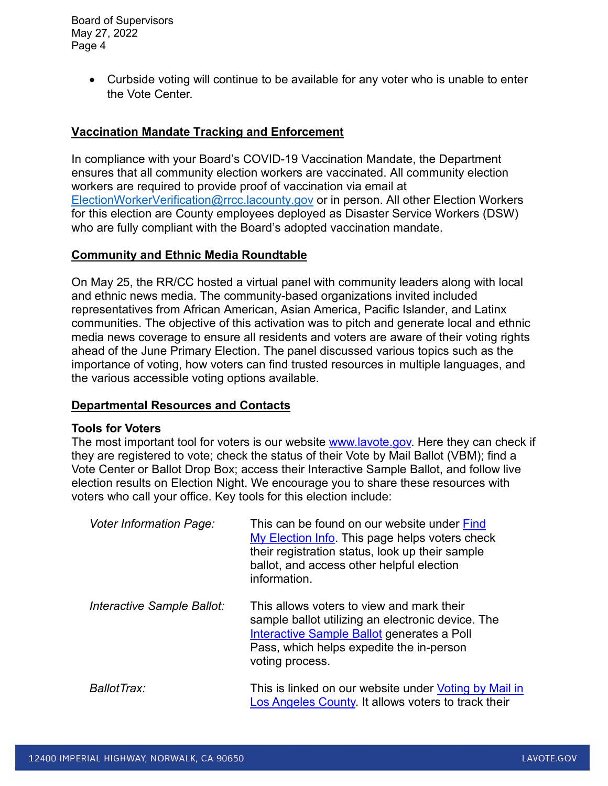Board of Supervisors May 27, 2022 Page 4

> • Curbside voting will continue to be available for any voter who is unable to enter the Vote Center.

## **Vaccination Mandate Tracking and Enforcement**

In compliance with your Board's COVID-19 Vaccination Mandate, the Department ensures that all community election workers are vaccinated. All community election workers are required to provide proof of vaccination via email at [ElectionWorkerVerification@rrcc.lacounty.gov](mailto:ElectionWorkerVerification@rrcc.lacounty.gov) or in person. All other Election Workers for this election are County employees deployed as Disaster Service Workers (DSW) who are fully compliant with the Board's adopted vaccination mandate.

#### **Community and Ethnic Media Roundtable**

On May 25, the RR/CC hosted a virtual panel with community leaders along with local and ethnic news media. The community-based organizations invited included representatives from African American, Asian America, Pacific Islander, and Latinx communities. The objective of this activation was to pitch and generate local and ethnic media news coverage to ensure all residents and voters are aware of their voting rights ahead of the June Primary Election. The panel discussed various topics such as the importance of voting, how voters can find trusted resources in multiple languages, and the various accessible voting options available.

### **Departmental Resources and Contacts**

#### **Tools for Voters**

The most important tool for voters is our website [www.lavote.gov.](http://www.lavote.gov/) Here they can check if they are registered to vote; check the status of their Vote by Mail Ballot (VBM); find a Vote Center or Ballot Drop Box; access their Interactive Sample Ballot, and follow live election results on Election Night. We encourage you to share these resources with voters who call your office. Key tools for this election include:

| <b>Voter Information Page:</b> | This can be found on our website under Find<br>My Election Info. This page helps voters check<br>their registration status, look up their sample<br>ballot, and access other helpful election<br>information. |
|--------------------------------|---------------------------------------------------------------------------------------------------------------------------------------------------------------------------------------------------------------|
| Interactive Sample Ballot:     | This allows voters to view and mark their<br>sample ballot utilizing an electronic device. The<br>Interactive Sample Ballot generates a Poll<br>Pass, which helps expedite the in-person<br>voting process.   |
| BallotTrax:                    | This is linked on our website under Voting by Mail in<br>Los Angeles County. It allows voters to track their                                                                                                  |